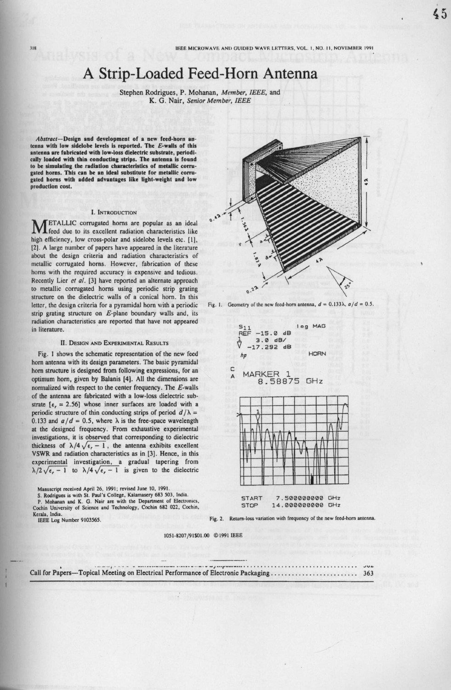# **A Strip**-**Loaded Feed**-**Horn Antenna**

**Stephen Rodrigues**, **P. Mohanan** , *Member, IEEE,* and K. G. Nair, *Senior Member*, IEEE

Abstract- **Design and development of a new feed**-**horn an**tenna with low sidelobe levels is reported. The E-walls of this **antenna are fabricated with low** -**loss dielectric substrate** , **periodically loaded with thin conducting strips** . **The antenna is found to be simulating the radiation characteristics of metallic corrugated horns**. **This can be an ideal substitute for metallic corrugated horns with added advantages like light**-**weight and low production cost.**

## **1. INTRODUCTION**

**MFTALLIC corrugated horns are popular as an ideal feed due to its excellent radiation characteristics like** high efficiency, low cross-polar and sidelobe levels etc. [1], **12]. A large number of papers have appeared in the literature about the design criteria and radiation characteristics of metallic corrugated horns** . **However, fabrication of these horns with the required accuracy is expensive and tedious. Recently Lier** *of at.* **l3] have reported an alternate approach to metallic corrugated horns using periodic strip grating structure on the dielectric walls of a conical horn. In this letter, the design criteria for a pyramidal horn with a periodic strip grating structure on E-plane boundary walls and, its radiation characteristics are reported that have not appeared in literature.**

## **11. DESIGN AND EXPERIMENTAL RESULTS**

**Fig. I shows the schematic representation of the new feed horn antenna with its design parameters** . **The basic pyramidal horn structure is designed from following expressions, for an** optimum horn, given by Balanis [4]. All the dimensions are **normalized with respect to the center frequency** . **The E-walls of the antenna are fabricated with a low**-**loss dielectric sub**strate  $[\epsilon_r = 2.56]$  whose inner surfaces are loaded with a periodic structure of thin conducting strips of period  $d/\lambda$  = 0.133 and  $a/d = 0.5$ , where  $\lambda$  is the free-space wavelength **at the designed frequency** . **From exhaustive experimental investigations, it is observed that corresponding to dielectric** thickness of  $\lambda/4\sqrt{\epsilon_r-1}$ , the antenna exhibits excellent **VSWR and radiation characteristics as in [3** ]. **Hence**, **in this experimental investigation** , **a gradual tapering from**  $\lambda/2\sqrt{\epsilon_r-1}$  to  $\lambda/4\sqrt{\epsilon_r-1}$  is given to the dielectric

**Manuscript received** April 26, 1991; revised **June 10, 1991. S. Rodrigues** is with SI. **Paul's** College **, Kalamasery** 683 503, **India. P. Mohanan and K** . **G. Nair are with the Department** of Electronics, Cochin University **of Science** and Technology, Cochin 682 022, Cochin, **Kerala, India.**

IEEE Log Number 9103565



Fig. 1. Geometry of the new feed-horn antenna,  $d = 0.133\lambda$ ,  $a/d = 0.5$ .



**Fig. 2. Return**-**loss variation with frequency of the new** feed-**horn antenna.**

1051-8207/**91\$01.00** 0 **115091 IEEE**